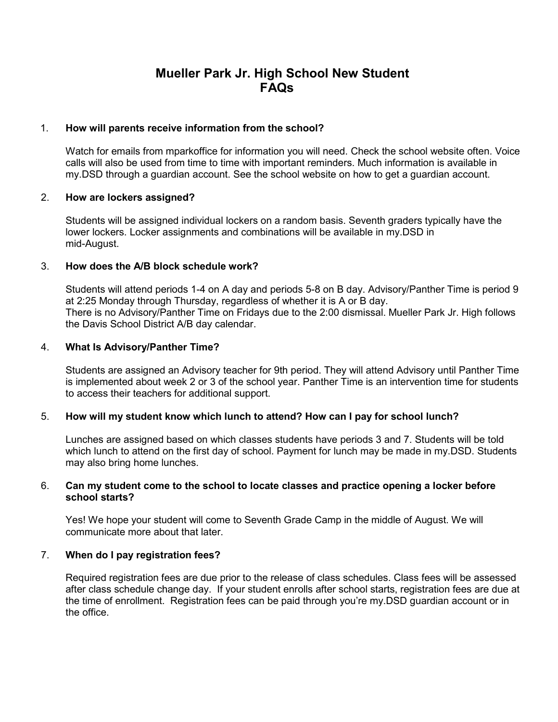# **Mueller Park Jr. High School New Student FAQs**

# 1. **How will parents receive information from the school?**

Watch for emails from mparkoffice for information you will need. Check the school website often. Voice calls will also be used from time to time with important reminders. Much information is available in my.DSD through a guardian account. See the school website on how to get a guardian account.

# 2. **How are lockers assigned?**

Students will be assigned individual lockers on a random basis. Seventh graders typically have the lower lockers. Locker assignments and combinations will be available in my.DSD in mid-August.

# 3. **How does the A/B block schedule work?**

Students will attend periods 1-4 on A day and periods 5-8 on B day. Advisory/Panther Time is period 9 at 2:25 Monday through Thursday, regardless of whether it is A or B day. There is no Advisory/Panther Time on Fridays due to the 2:00 dismissal. Mueller Park Jr. High follows the Davis School District A/B day calendar.

# 4. **What Is Advisory/Panther Time?**

Students are assigned an Advisory teacher for 9th period. They will attend Advisory until Panther Time is implemented about week 2 or 3 of the school year. Panther Time is an intervention time for students to access their teachers for additional support.

# 5. **How will my student know which lunch to attend? How can I pay for school lunch?**

Lunches are assigned based on which classes students have periods 3 and 7. Students will be told which lunch to attend on the first day of school. Payment for lunch may be made in my.DSD. Students may also bring home lunches.

# 6. **Can my student come to the school to locate classes and practice opening a locker before school starts?**

Yes! We hope your student will come to Seventh Grade Camp in the middle of August. We will communicate more about that later.

#### 7. **When do I pay registration fees?**

Required registration fees are due prior to the release of class schedules. Class fees will be assessed after class schedule change day. If your student enrolls after school starts, registration fees are due at the time of enrollment. Registration fees can be paid through you're my.DSD guardian account or in the office.